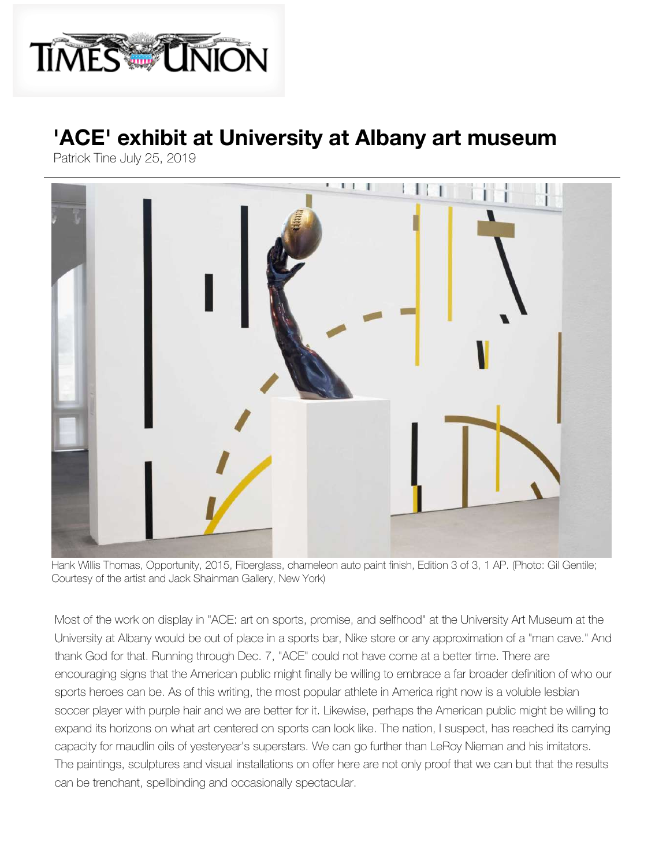

## **['ACE' exhibit a](https://www.timesunion.com/tablehopping/article/Old-Daley-on-Crooked-Lake-opening-for-winter-16783264.php?IPID=Times-Union-entertainment-article-ribbon)t [University at Alb](https://www.timesunion.com/tablehopping/article/New-restaurant-opens-at-MVP-Arena-16783204.php?IPID=Times-Union-entertainment-article-ribbon)a[ny art museum](https://www.timesunion.com/news/article/Netflix-prices-are-going-up-16782961.php?IPID=Times-Union-entertainment-article-ribbon)**

Patrick Tine July 25, 2019



Hank Willis Thomas, Opportunity, 2015, Fiberglass, chameleon auto paint finish, Edition 3 of 3, 1 AP. (Photo: Gil Gentile; [Cour](https://www.facebook.com/dialog/feed?app_id=480611135405160&link=https%3A%2F%2Fwww.timesunion.com%2Fentertainment%2Farticle%2FACE-exhibit-at-University-at-Albany-art-museum-14138871.php%23taboola-1%3Futm_campaign%3DCMS%2520Sharing%2520Tools%2520(Premium)%26utm_source%3Dfacebook.com%26utm_medium%3Dreferral&name=%27ACE%27%20exhibit%20at%20University%20at%20Albany%20art%20museum&description=Most%20of%20the%20work%20on%20display%20in%20%26amp%3Bquot%3BACE%3A%20art%20on%20sports%2C%20promise%2C%20and%20selfhood%26amp%3Bquot%3B%20at%20the...&picture=https%3A%2F%2Fs.hdnux.com%2Fphotos%2F01%2F04%2F26%2F65%2F17919313%2F5%2FrawImage.jpg&redirect_uri=https%3A%2F%2Fwww.timesunion.com%2Fentertainment%2Farticle%2FACE-exhibit-at-University-at-Albany-art-museum-14138871.php%23taboola-1%3Futm_campaign%3DCMS%2520Sharing%2520Tools%2520(Premium)%26utm_source%3DUTMSOURCE%26utm_medium%3DUTMMEDIUM)t[esy of t](https://twitter.com/intent/tweet?url=https%3A%2F%2Fwww.timesunion.com%2Fentertainment%2Farticle%2FACE-exhibit-at-University-at-Albany-art-museum-14138871.php%23taboola-1%3Futm_campaign%3DCMS%2520Sharing%2520Tools%2520(Premium)%26utm_source%3Dt.co%26utm_medium%3Dreferral&text=%27ACE%27%20exhibit%20at%20University%20at%20Albany%20art%20museum&via=TimesUnion)h[e artis](mailto:?subject=Your%20friend%20has%20shared%20a%20Times%20Union%20link%20with%20you%3A%20&body=%27ACE%27%20exhibit%20at%20University%20at%20Albany%20art%20museum%0A%0Ahttps%3A%2F%2Fwww.timesunion.com%2Fentertainment%2Farticle%2FACE-exhibit-at-University-at-Albany-art-museum-14138871.php%23taboola-1%3Futm_campaign%3DCMS%2520Sharing%2520Tools%2520(Premium)%26utm_source%3Dshare-by-email%26utm_medium%3Demail%0A%0AMost%20of%20the%20work%20on%20display%20in%20%26amp%3Bquot%3BACE%3A%20art%20on%20sports%2C%20promise%2C%20and%20selfhood%26amp%3Bquot%3B%20at%20the...%0A%0AThis%20message%20was%20sent%20via%20Times%20Union)t and Jack Shainman Gallery, New York)

Most of the work on display in "ACE: art on sports, promise, and selfhood" at the University Art Museum at the University at Albany would be out of place in a sports bar, Nike store or any approximation of a "man cave." And thank God for that. Running through Dec. 7, "ACE" could not have come at a better time. There are encouraging signs that the American public might finally be willing to embrace a far broader definition of who our sports heroes can be. As of this writing, the most popular athlete in America right now is a voluble lesbian soccer player with purple hair and we are better for it. Likewise, perhaps the American public might be willing to expand its horizons on what art centered on sports can look like. The nation, I suspect, has reached its carrying capacity for maudlin oils of yesteryear's superstars. We can go further than LeRoy Nieman and his imitators. The paintings, sculptures and visual installations on offer here are not only proof that we can but that the results can be trenchant, spellbinding and occasionally spectacular.